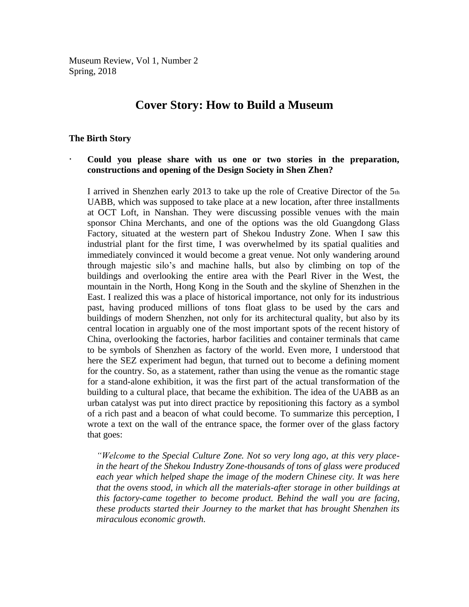Museum Review, Vol 1, Number 2 Spring, 2018

# **Cover Story: How to Build a Museum**

#### **The Birth Story**

## **Could you please share with us one or two stories in the preparation, constructions and opening of the Design Society in Shen Zhen?**

I arrived in Shenzhen early 2013 to take up the role of Creative Director of the 5th UABB, which was supposed to take place at a new location, after three installments at OCT Loft, in Nanshan. They were discussing possible venues with the main sponsor China Merchants, and one of the options was the old Guangdong Glass Factory, situated at the western part of Shekou Industry Zone. When I saw this industrial plant for the first time, I was overwhelmed by its spatial qualities and immediately convinced it would become a great venue. Not only wandering around through majestic silo's and machine halls, but also by climbing on top of the buildings and overlooking the entire area with the Pearl River in the West, the mountain in the North, Hong Kong in the South and the skyline of Shenzhen in the East. I realized this was a place of historical importance, not only for its industrious past, having produced millions of tons float glass to be used by the cars and buildings of modern Shenzhen, not only for its architectural quality, but also by its central location in arguably one of the most important spots of the recent history of China, overlooking the factories, harbor facilities and container terminals that came to be symbols of Shenzhen as factory of the world. Even more, I understood that here the SEZ experiment had begun, that turned out to become a defining moment for the country. So, as a statement, rather than using the venue as the romantic stage for a stand-alone exhibition, it was the first part of the actual transformation of the building to a cultural place, that became the exhibition. The idea of the UABB as an urban catalyst was put into direct practice by repositioning this factory as a symbol of a rich past and a beacon of what could become. To summarize this perception, I wrote a text on the wall of the entrance space, the former over of the glass factory that goes:

*"Welcome to the Special Culture Zone. Not so very long ago, at this very placein the heart of the Shekou Industry Zone-thousands of tons of glass were produced*  each year which helped shape the *image of the modern Chinese city. It was here that the ovens stood, in which all the materials-after storage in other buildings at this factory-came together to become product. Behind the wall you are facing, these products started their Journey to the market that has brought Shenzhen its miraculous economic growth.*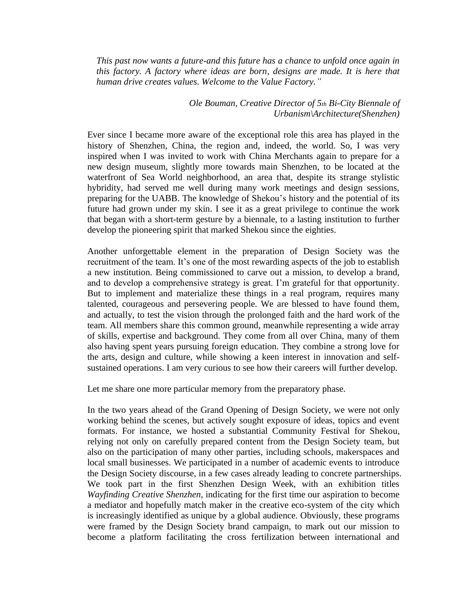*This past now wants a future-and this future has a chance to unfold once again in this factory. A factory where ideas are born, designs are made. It is here that human drive creates values. Welcome to the Value Factory."*

> *Ole Bouman, Creative Director of 5th Bi-City Biennale of Urbanism\Architecture(Shenzhen)*

Ever since I became more aware of the exceptional role this area has played in the history of Shenzhen, China, the region and, indeed, the world. So, I was very inspired when I was invited to work with China Merchants again to prepare for a new design museum, slightly more towards main Shenzhen, to be located at the waterfront of Sea World neighborhood, an area that, despite its strange stylistic hybridity, had served me well during many work meetings and design sessions, preparing for the UABB. The knowledge of Shekou's history and the potential of its future had grown under my skin. I see it as a great privilege to continue the work that began with a short-term gesture by a biennale, to a lasting institution to further develop the pioneering spirit that marked Shekou since the eighties.

Another unforgettable element in the preparation of Design Society was the recruitment of the team. It's one of the most rewarding aspects of the job to establish a new institution. Being commissioned to carve out a mission, to develop a brand, and to develop a comprehensive strategy is great. I'm grateful for that opportunity. But to implement and materialize these things in a real program, requires many talented, courageous and persevering people. We are blessed to have found them, and actually, to test the vision through the prolonged faith and the hard work of the team. All members share this common ground, meanwhile representing a wide array of skills, expertise and background. They come from all over China, many of them also having spent years pursuing foreign education. They combine a strong love for the arts, design and culture, while showing a keen interest in innovation and selfsustained operations. I am very curious to see how their careers will further develop.

Let me share one more particular memory from the preparatory phase.

In the two years ahead of the Grand Opening of Design Society, we were not only working behind the scenes, but actively sought exposure of ideas, topics and event formats. For instance, we hosted a substantial Community Festival for Shekou, relying not only on carefully prepared content from the Design Society team, but also on the participation of many other parties, including schools, makerspaces and local small businesses. We participated in a number of academic events to introduce the Design Society discourse, in a few cases already leading to concrete partnerships. We took part in the first Shenzhen Design Week, with an exhibition titles *Wayfinding Creative Shenzhen*, indicating for the first time our aspiration to become a mediator and hopefully match maker in the creative eco-system of the city which is increasingly identified as unique by a global audience. Obviously, these programs were framed by the Design Society brand campaign, to mark out our mission to become a platform facilitating the cross fertilization between international and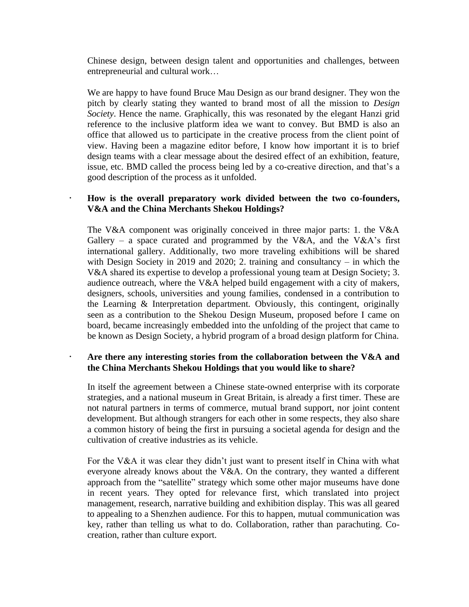Chinese design, between design talent and opportunities and challenges, between entrepreneurial and cultural work…

We are happy to have found Bruce Mau Design as our brand designer. They won the pitch by clearly stating they wanted to brand most of all the mission to *Design Society*. Hence the name. Graphically, this was resonated by the elegant Hanzi grid reference to the inclusive platform idea we want to convey. But BMD is also an office that allowed us to participate in the creative process from the client point of view. Having been a magazine editor before, I know how important it is to brief design teams with a clear message about the desired effect of an exhibition, feature, issue, etc. BMD called the process being led by a co-creative direction, and that's a good description of the process as it unfolded.

# **How is the overall preparatory work divided between the two co-founders, V&A and the China Merchants Shekou Holdings?**

The V&A component was originally conceived in three major parts: 1. the V&A Gallery – a space curated and programmed by the V&A, and the V&A's first international gallery. Additionally, two more traveling exhibitions will be shared with Design Society in 2019 and 2020; 2. training and consultancy – in which the V&A shared its expertise to develop a professional young team at Design Society; 3. audience outreach, where the V&A helped build engagement with a city of makers, designers, schools, universities and young families, condensed in a contribution to the Learning & Interpretation department. Obviously, this contingent, originally seen as a contribution to the Shekou Design Museum, proposed before I came on board, became increasingly embedded into the unfolding of the project that came to be known as Design Society, a hybrid program of a broad design platform for China.

# **Are there any interesting stories from the collaboration between the V&A and the China Merchants Shekou Holdings that you would like to share?**

In itself the agreement between a Chinese state-owned enterprise with its corporate strategies, and a national museum in Great Britain, is already a first timer. These are not natural partners in terms of commerce, mutual brand support, nor joint content development. But although strangers for each other in some respects, they also share a common history of being the first in pursuing a societal agenda for design and the cultivation of creative industries as its vehicle.

For the V&A it was clear they didn't just want to present itself in China with what everyone already knows about the V&A. On the contrary, they wanted a different approach from the "satellite" strategy which some other major museums have done in recent years. They opted for relevance first, which translated into project management, research, narrative building and exhibition display. This was all geared to appealing to a Shenzhen audience. For this to happen, mutual communication was key, rather than telling us what to do. Collaboration, rather than parachuting. Cocreation, rather than culture export.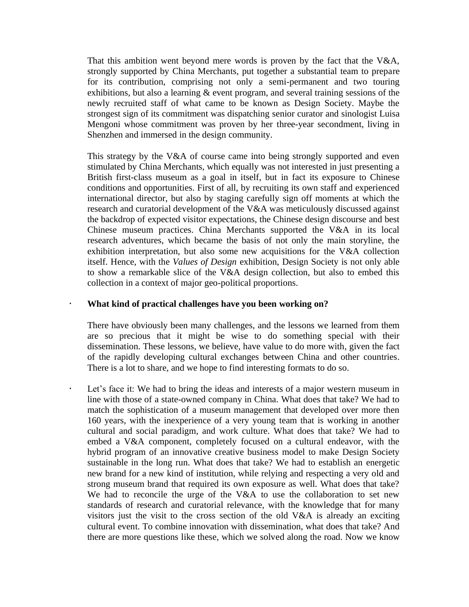That this ambition went beyond mere words is proven by the fact that the V&A, strongly supported by China Merchants, put together a substantial team to prepare for its contribution, comprising not only a semi-permanent and two touring exhibitions, but also a learning & event program, and several training sessions of the newly recruited staff of what came to be known as Design Society. Maybe the strongest sign of its commitment was dispatching senior curator and sinologist Luisa Mengoni whose commitment was proven by her three-year secondment, living in Shenzhen and immersed in the design community.

This strategy by the V&A of course came into being strongly supported and even stimulated by China Merchants, which equally was not interested in just presenting a British first-class museum as a goal in itself, but in fact its exposure to Chinese conditions and opportunities. First of all, by recruiting its own staff and experienced international director, but also by staging carefully sign off moments at which the research and curatorial development of the V&A was meticulously discussed against the backdrop of expected visitor expectations, the Chinese design discourse and best Chinese museum practices. China Merchants supported the V&A in its local research adventures, which became the basis of not only the main storyline, the exhibition interpretation, but also some new acquisitions for the V&A collection itself. Hence, with the *Values of Design* exhibition, Design Society is not only able to show a remarkable slice of the V&A design collection, but also to embed this collection in a context of major geo-political proportions.

## **What kind of practical challenges have you been working on?**

There have obviously been many challenges, and the lessons we learned from them are so precious that it might be wise to do something special with their dissemination. These lessons, we believe, have value to do more with, given the fact of the rapidly developing cultural exchanges between China and other countries. There is a lot to share, and we hope to find interesting formats to do so.

 Let's face it: We had to bring the ideas and interests of a major western museum in line with those of a state-owned company in China. What does that take? We had to match the sophistication of a museum management that developed over more then 160 years, with the inexperience of a very young team that is working in another cultural and social paradigm, and work culture. What does that take? We had to embed a V&A component, completely focused on a cultural endeavor, with the hybrid program of an innovative creative business model to make Design Society sustainable in the long run. What does that take? We had to establish an energetic new brand for a new kind of institution, while relying and respecting a very old and strong museum brand that required its own exposure as well. What does that take? We had to reconcile the urge of the V&A to use the collaboration to set new standards of research and curatorial relevance, with the knowledge that for many visitors just the visit to the cross section of the old V&A is already an exciting cultural event. To combine innovation with dissemination, what does that take? And there are more questions like these, which we solved along the road. Now we know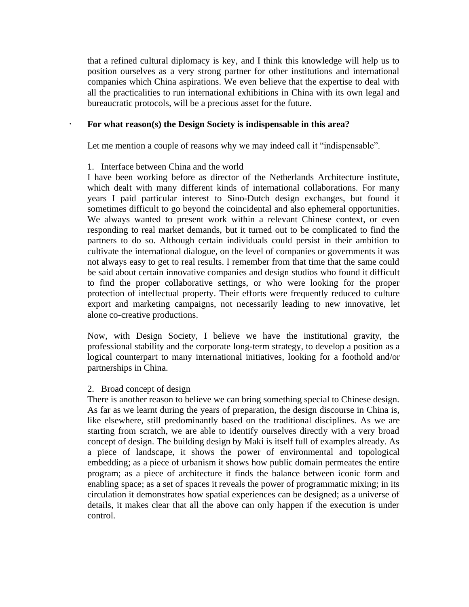that a refined cultural diplomacy is key, and I think this knowledge will help us to position ourselves as a very strong partner for other institutions and international companies which China aspirations. We even believe that the expertise to deal with all the practicalities to run international exhibitions in China with its own legal and bureaucratic protocols, will be a precious asset for the future.

#### **For what reason(s) the Design Society is indispensable in this area?**

Let me mention a couple of reasons why we may indeed call it "indispensable".

#### 1. Interface between China and the world

I have been working before as director of the Netherlands Architecture institute, which dealt with many different kinds of international collaborations. For many years I paid particular interest to Sino-Dutch design exchanges, but found it sometimes difficult to go beyond the coincidental and also ephemeral opportunities. We always wanted to present work within a relevant Chinese context, or even responding to real market demands, but it turned out to be complicated to find the partners to do so. Although certain individuals could persist in their ambition to cultivate the international dialogue, on the level of companies or governments it was not always easy to get to real results. I remember from that time that the same could be said about certain innovative companies and design studios who found it difficult to find the proper collaborative settings, or who were looking for the proper protection of intellectual property. Their efforts were frequently reduced to culture export and marketing campaigns, not necessarily leading to new innovative, let alone co-creative productions.

Now, with Design Society, I believe we have the institutional gravity, the professional stability and the corporate long-term strategy, to develop a position as a logical counterpart to many international initiatives, looking for a foothold and/or partnerships in China.

#### 2. Broad concept of design

There is another reason to believe we can bring something special to Chinese design. As far as we learnt during the years of preparation, the design discourse in China is, like elsewhere, still predominantly based on the traditional disciplines. As we are starting from scratch, we are able to identify ourselves directly with a very broad concept of design. The building design by Maki is itself full of examples already. As a piece of landscape, it shows the power of environmental and topological embedding; as a piece of urbanism it shows how public domain permeates the entire program; as a piece of architecture it finds the balance between iconic form and enabling space; as a set of spaces it reveals the power of programmatic mixing; in its circulation it demonstrates how spatial experiences can be designed; as a universe of details, it makes clear that all the above can only happen if the execution is under control.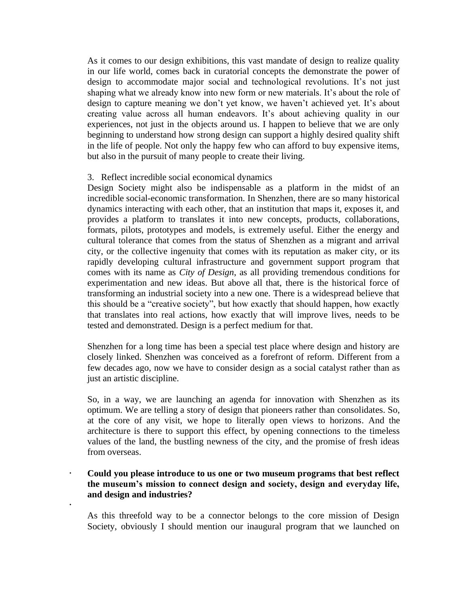As it comes to our design exhibitions, this vast mandate of design to realize quality in our life world, comes back in curatorial concepts the demonstrate the power of design to accommodate major social and technological revolutions. It's not just shaping what we already know into new form or new materials. It's about the role of design to capture meaning we don't yet know, we haven't achieved yet. It's about creating value across all human endeavors. It's about achieving quality in our experiences, not just in the objects around us. I happen to believe that we are only beginning to understand how strong design can support a highly desired quality shift in the life of people. Not only the happy few who can afford to buy expensive items, but also in the pursuit of many people to create their living.

## 3. Reflect incredible social economical dynamics

Design Society might also be indispensable as a platform in the midst of an incredible social-economic transformation. In Shenzhen, there are so many historical dynamics interacting with each other, that an institution that maps it, exposes it, and provides a platform to translates it into new concepts, products, collaborations, formats, pilots, prototypes and models, is extremely useful. Either the energy and cultural tolerance that comes from the status of Shenzhen as a migrant and arrival city, or the collective ingenuity that comes with its reputation as maker city, or its rapidly developing cultural infrastructure and government support program that comes with its name as *City of Design*, as all providing tremendous conditions for experimentation and new ideas. But above all that, there is the historical force of transforming an industrial society into a new one. There is a widespread believe that this should be a "creative society", but how exactly that should happen, how exactly that translates into real actions, how exactly that will improve lives, needs to be tested and demonstrated. Design is a perfect medium for that.

Shenzhen for a long time has been a special test place where design and history are closely linked. Shenzhen was conceived as a forefront of reform. Different from a few decades ago, now we have to consider design as a social catalyst rather than as just an artistic discipline.

So, in a way, we are launching an agenda for innovation with Shenzhen as its optimum. We are telling a story of design that pioneers rather than consolidates. So, at the core of any visit, we hope to literally open views to horizons. And the architecture is there to support this effect, by opening connections to the timeless values of the land, the bustling newness of the city, and the promise of fresh ideas from overseas.

# **Could you please introduce to us one or two museum programs that best reflect the museum's mission to connect design and society, design and everyday life, and design and industries?**

.

As this threefold way to be a connector belongs to the core mission of Design Society, obviously I should mention our inaugural program that we launched on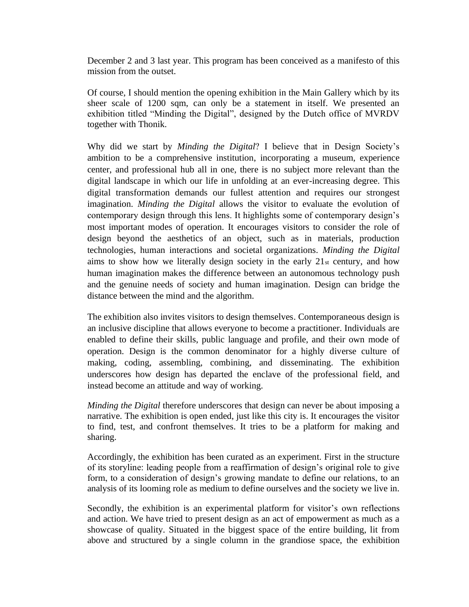December 2 and 3 last year. This program has been conceived as a manifesto of this mission from the outset.

Of course, I should mention the opening exhibition in the Main Gallery which by its sheer scale of 1200 sqm, can only be a statement in itself. We presented an exhibition titled "Minding the Digital", designed by the Dutch office of MVRDV together with Thonik.

Why did we start by *Minding the Digital*? I believe that in Design Society's ambition to be a comprehensive institution, incorporating a museum, experience center, and professional hub all in one, there is no subject more relevant than the digital landscape in which our life in unfolding at an ever-increasing degree. This digital transformation demands our fullest attention and requires our strongest imagination. *Minding the Digital* allows the visitor to evaluate the evolution of contemporary design through this lens. It highlights some of contemporary design's most important modes of operation. It encourages visitors to consider the role of design beyond the aesthetics of an object, such as in materials, production technologies, human interactions and societal organizations. *Minding the Digital* aims to show how we literally design society in the early  $21<sub>st</sub>$  century, and how human imagination makes the difference between an autonomous technology push and the genuine needs of society and human imagination. Design can bridge the distance between the mind and the algorithm.

The exhibition also invites visitors to design themselves. Contemporaneous design is an inclusive discipline that allows everyone to become a practitioner. Individuals are enabled to define their skills, public language and profile, and their own mode of operation. Design is the common denominator for a highly diverse culture of making, coding, assembling, combining, and disseminating. The exhibition underscores how design has departed the enclave of the professional field, and instead become an attitude and way of working.

*Minding the Digital* therefore underscores that design can never be about imposing a narrative. The exhibition is open ended, just like this city is. It encourages the visitor to find, test, and confront themselves. It tries to be a platform for making and sharing.

Accordingly, the exhibition has been curated as an experiment. First in the structure of its storyline: leading people from a reaffirmation of design's original role to give form, to a consideration of design's growing mandate to define our relations, to an analysis of its looming role as medium to define ourselves and the society we live in.

Secondly, the exhibition is an experimental platform for visitor's own reflections and action. We have tried to present design as an act of empowerment as much as a showcase of quality. Situated in the biggest space of the entire building, lit from above and structured by a single column in the grandiose space, the exhibition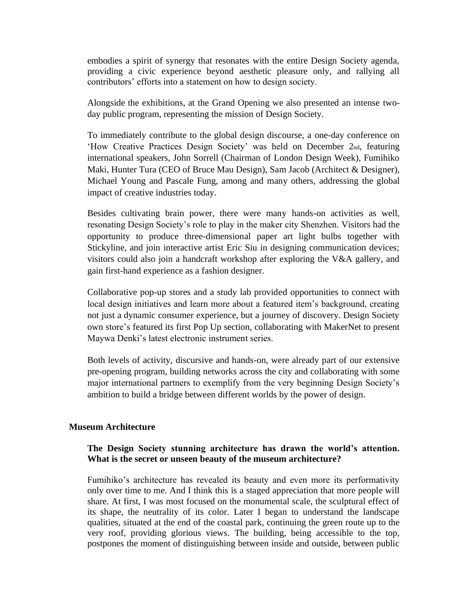embodies a spirit of synergy that resonates with the entire Design Society agenda, providing a civic experience beyond aesthetic pleasure only, and rallying all contributors' efforts into a statement on how to design society.

Alongside the exhibitions, at the Grand Opening we also presented an intense twoday public program, representing the mission of Design Society.

To immediately contribute to the global design discourse, a one-day conference on 'How Creative Practices Design Society' was held on December 2nd, featuring international speakers, John Sorrell (Chairman of London Design Week), Fumihiko Maki, Hunter Tura (CEO of Bruce Mau Design), Sam Jacob (Architect & Designer), Michael Young and Pascale Fung, among and many others, addressing the global impact of creative industries today.

Besides cultivating brain power, there were many hands-on activities as well, resonating Design Society's role to play in the maker city Shenzhen. Visitors had the opportunity to produce three-dimensional paper art light bulbs together with Stickyline, and join interactive artist Eric Siu in designing communication devices; visitors could also join a handcraft workshop after exploring the V&A gallery, and gain first-hand experience as a fashion designer.

Collaborative pop-up stores and a study lab provided opportunities to connect with local design initiatives and learn more about a featured item's background, creating not just a dynamic consumer experience, but a journey of discovery. Design Society own store's featured its first Pop Up section, collaborating with MakerNet to present Maywa Denki's latest electronic instrument series.

Both levels of activity, discursive and hands-on, were already part of our extensive pre-opening program, building networks across the city and collaborating with some major international partners to exemplify from the very beginning Design Society's ambition to build a bridge between different worlds by the power of design.

#### **Museum Architecture**

## **The Design Society stunning architecture has drawn the world's attention. What is the secret or unseen beauty of the museum architecture?**

Fumihiko's architecture has revealed its beauty and even more its performativity only over time to me. And I think this is a staged appreciation that more people will share. At first, I was most focused on the monumental scale, the sculptural effect of its shape, the neutrality of its color. Later I began to understand the landscape qualities, situated at the end of the coastal park, continuing the green route up to the very roof, providing glorious views. The building, being accessible to the top, postpones the moment of distinguishing between inside and outside, between public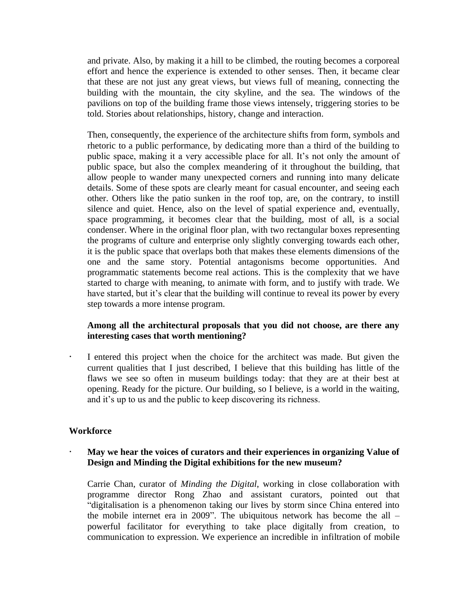and private. Also, by making it a hill to be climbed, the routing becomes a corporeal effort and hence the experience is extended to other senses. Then, it became clear that these are not just any great views, but views full of meaning, connecting the building with the mountain, the city skyline, and the sea. The windows of the pavilions on top of the building frame those views intensely, triggering stories to be told. Stories about relationships, history, change and interaction.

Then, consequently, the experience of the architecture shifts from form, symbols and rhetoric to a public performance, by dedicating more than a third of the building to public space, making it a very accessible place for all. It's not only the amount of public space, but also the complex meandering of it throughout the building, that allow people to wander many unexpected corners and running into many delicate details. Some of these spots are clearly meant for casual encounter, and seeing each other. Others like the patio sunken in the roof top, are, on the contrary, to instill silence and quiet. Hence, also on the level of spatial experience and, eventually, space programming, it becomes clear that the building, most of all, is a social condenser. Where in the original floor plan, with two rectangular boxes representing the programs of culture and enterprise only slightly converging towards each other, it is the public space that overlaps both that makes these elements dimensions of the one and the same story. Potential antagonisms become opportunities. And programmatic statements become real actions. This is the complexity that we have started to charge with meaning, to animate with form, and to justify with trade. We have started, but it's clear that the building will continue to reveal its power by every step towards a more intense program.

# **Among all the architectural proposals that you did not choose, are there any interesting cases that worth mentioning?**

 I entered this project when the choice for the architect was made. But given the current qualities that I just described, I believe that this building has little of the flaws we see so often in museum buildings today: that they are at their best at opening. Ready for the picture. Our building, so I believe, is a world in the waiting, and it's up to us and the public to keep discovering its richness.

## **Workforce**

## **May we hear the voices of curators and their experiences in organizing Value of Design and Minding the Digital exhibitions for the new museum?**

Carrie Chan, curator of *Minding the Digital*, working in close collaboration with programme director Rong Zhao and assistant curators, pointed out that "digitalisation is a phenomenon taking our lives by storm since China entered into the mobile internet era in 2009". The ubiquitous network has become the all – powerful facilitator for everything to take place digitally from creation, to communication to expression. We experience an incredible in infiltration of mobile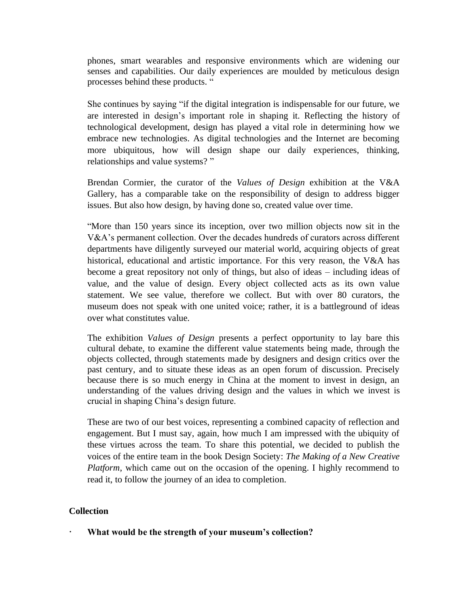phones, smart wearables and responsive environments which are widening our senses and capabilities. Our daily experiences are moulded by meticulous design processes behind these products. "

She continues by saying "if the digital integration is indispensable for our future, we are interested in design's important role in shaping it. Reflecting the history of technological development, design has played a vital role in determining how we embrace new technologies. As digital technologies and the Internet are becoming more ubiquitous, how will design shape our daily experiences, thinking, relationships and value systems? "

Brendan Cormier, the curator of the *Values of Design* exhibition at the V&A Gallery, has a comparable take on the responsibility of design to address bigger issues. But also how design, by having done so, created value over time.

"More than 150 years since its inception, over two million objects now sit in the V&A's permanent collection. Over the decades hundreds of curators across different departments have diligently surveyed our material world, acquiring objects of great historical, educational and artistic importance. For this very reason, the V&A has become a great repository not only of things, but also of ideas – including ideas of value, and the value of design. Every object collected acts as its own value statement. We see value, therefore we collect. But with over 80 curators, the museum does not speak with one united voice; rather, it is a battleground of ideas over what constitutes value.

The exhibition *Values of Design* presents a perfect opportunity to lay bare this cultural debate, to examine the different value statements being made, through the objects collected, through statements made by designers and design critics over the past century, and to situate these ideas as an open forum of discussion. Precisely because there is so much energy in China at the moment to invest in design, an understanding of the values driving design and the values in which we invest is crucial in shaping China's design future.

These are two of our best voices, representing a combined capacity of reflection and engagement. But I must say, again, how much I am impressed with the ubiquity of these virtues across the team. To share this potential, we decided to publish the voices of the entire team in the book Design Society: *The Making of a New Creative Platform*, which came out on the occasion of the opening. I highly recommend to read it, to follow the journey of an idea to completion.

## **Collection**

**What would be the strength of your museum's collection?**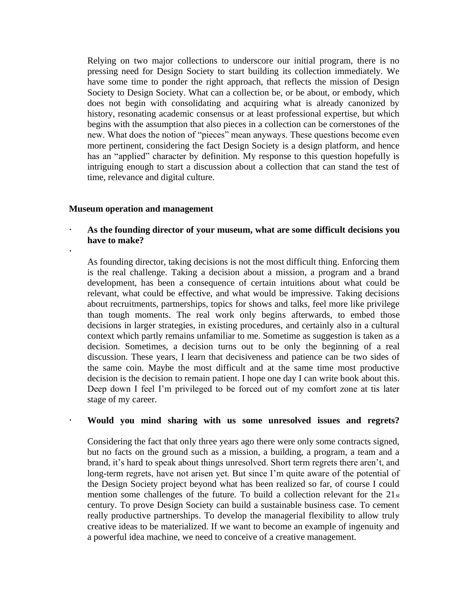Relying on two major collections to underscore our initial program, there is no pressing need for Design Society to start building its collection immediately. We have some time to ponder the right approach, that reflects the mission of Design Society to Design Society. What can a collection be, or be about, or embody, which does not begin with consolidating and acquiring what is already canonized by history, resonating academic consensus or at least professional expertise, but which begins with the assumption that also pieces in a collection can be cornerstones of the new. What does the notion of "pieces" mean anyways. These questions become even more pertinent, considering the fact Design Society is a design platform, and hence has an "applied" character by definition. My response to this question hopefully is intriguing enough to start a discussion about a collection that can stand the test of time, relevance and digital culture.

#### **Museum operation and management**

.

 **As the founding director of your museum, what are some difficult decisions you have to make?** 

As founding director, taking decisions is not the most difficult thing. Enforcing them is the real challenge. Taking a decision about a mission, a program and a brand development, has been a consequence of certain intuitions about what could be relevant, what could be effective, and what would be impressive. Taking decisions about recruitments, partnerships, topics for shows and talks, feel more like privilege than tough moments. The real work only begins afterwards, to embed those decisions in larger strategies, in existing procedures, and certainly also in a cultural context which partly remains unfamiliar to me. Sometime as suggestion is taken as a decision. Sometimes, a decision turns out to be only the beginning of a real discussion. These years, I learn that decisiveness and patience can be two sides of the same coin. Maybe the most difficult and at the same time most productive decision is the decision to remain patient. I hope one day I can write book about this. Deep down I feel I'm privileged to be forced out of my comfort zone at tis later stage of my career.

## **Would you mind sharing with us some unresolved issues and regrets?**

Considering the fact that only three years ago there were only some contracts signed, but no facts on the ground such as a mission, a building, a program, a team and a brand, it's hard to speak about things unresolved. Short term regrets there aren't, and long-term regrets, have not arisen yet. But since I'm quite aware of the potential of the Design Society project beyond what has been realized so far, of course I could mention some challenges of the future. To build a collection relevant for the 21st century. To prove Design Society can build a sustainable business case. To cement really productive partnerships. To develop the managerial flexibility to allow truly creative ideas to be materialized. If we want to become an example of ingenuity and a powerful idea machine, we need to conceive of a creative management.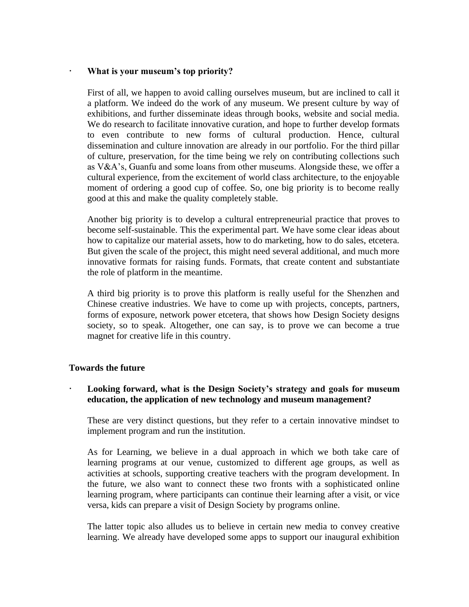#### **What is your museum's top priority?**

First of all, we happen to avoid calling ourselves museum, but are inclined to call it a platform. We indeed do the work of any museum. We present culture by way of exhibitions, and further disseminate ideas through books, website and social media. We do research to facilitate innovative curation, and hope to further develop formats to even contribute to new forms of cultural production. Hence, cultural dissemination and culture innovation are already in our portfolio. For the third pillar of culture, preservation, for the time being we rely on contributing collections such as V&A's, Guanfu and some loans from other museums. Alongside these, we offer a cultural experience, from the excitement of world class architecture, to the enjoyable moment of ordering a good cup of coffee. So, one big priority is to become really good at this and make the quality completely stable.

Another big priority is to develop a cultural entrepreneurial practice that proves to become self-sustainable. This the experimental part. We have some clear ideas about how to capitalize our material assets, how to do marketing, how to do sales, etcetera. But given the scale of the project, this might need several additional, and much more innovative formats for raising funds. Formats, that create content and substantiate the role of platform in the meantime.

A third big priority is to prove this platform is really useful for the Shenzhen and Chinese creative industries. We have to come up with projects, concepts, partners, forms of exposure, network power etcetera, that shows how Design Society designs society, so to speak. Altogether, one can say, is to prove we can become a true magnet for creative life in this country.

## **Towards the future**

## **Looking forward, what is the Design Society's strategy and goals for museum education, the application of new technology and museum management?**

These are very distinct questions, but they refer to a certain innovative mindset to implement program and run the institution.

As for Learning, we believe in a dual approach in which we both take care of learning programs at our venue, customized to different age groups, as well as activities at schools, supporting creative teachers with the program development. In the future, we also want to connect these two fronts with a sophisticated online learning program, where participants can continue their learning after a visit, or vice versa, kids can prepare a visit of Design Society by programs online.

The latter topic also alludes us to believe in certain new media to convey creative learning. We already have developed some apps to support our inaugural exhibition